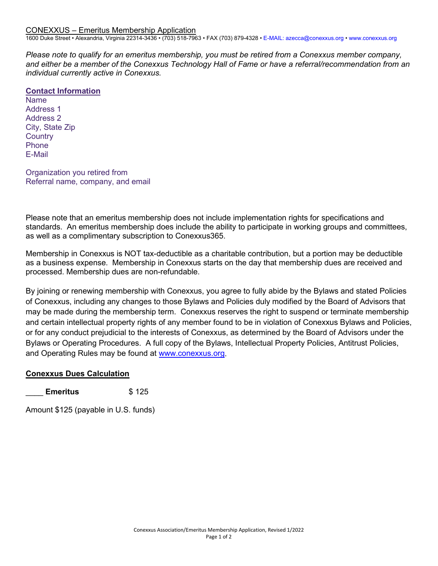1600 Duke Street • Alexandria, Virginia 22314-3436 • (703) 518-7963 • FAX (703) 879-4328 • E-MAIL: azecca@conexxus.org • www.conexxus.org

*Please note to qualify for an emeritus membership, you must be retired from a Conexxus member company, and either be a member of the Conexxus Technology Hall of Fame or have a referral/recommendation from an individual currently active in Conexxus.*

## **Contact Information**

Name Address 1 Address 2 City, State Zip **Country** Phone E-Mail

Organization you retired from Referral name, company, and email

Please note that an emeritus membership does not include implementation rights for specifications and standards. An emeritus membership does include the ability to participate in working groups and committees, as well as a complimentary subscription to Conexxus365.

Membership in Conexxus is NOT tax-deductible as a charitable contribution, but a portion may be deductible as a business expense. Membership in Conexxus starts on the day that membership dues are received and processed. Membership dues are non-refundable.

By joining or renewing membership with Conexxus, you agree to fully abide by the Bylaws and stated Policies of Conexxus, including any changes to those Bylaws and Policies duly modified by the Board of Advisors that may be made during the membership term. Conexxus reserves the right to suspend or terminate membership and certain intellectual property rights of any member found to be in violation of Conexxus Bylaws and Policies, or for any conduct prejudicial to the interests of Conexxus, as determined by the Board of Advisors under the Bylaws or Operating Procedures. A full copy of the Bylaws, Intellectual Property Policies, Antitrust Policies, and Operating Rules may be found at [www.conexxus.org.](http://www.conexxus.org/)

## **Conexxus Dues Calculation**

\_\_\_\_ **Emeritus** \$ 125

Amount \$125 (payable in U.S. funds)